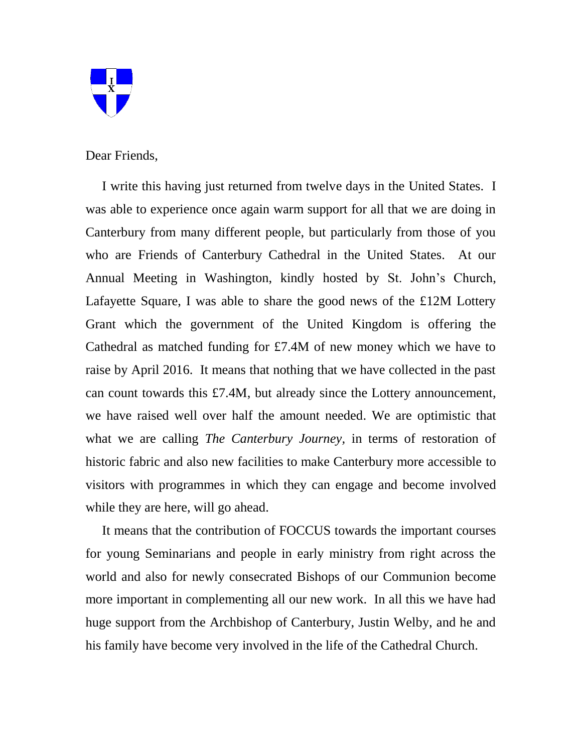

Dear Friends,

 I write this having just returned from twelve days in the United States. I was able to experience once again warm support for all that we are doing in Canterbury from many different people, but particularly from those of you who are Friends of Canterbury Cathedral in the United States. At our Annual Meeting in Washington, kindly hosted by St. John's Church, Lafayette Square, I was able to share the good news of the £12M Lottery Grant which the government of the United Kingdom is offering the Cathedral as matched funding for £7.4M of new money which we have to raise by April 2016. It means that nothing that we have collected in the past can count towards this £7.4M, but already since the Lottery announcement, we have raised well over half the amount needed. We are optimistic that what we are calling *The Canterbury Journey,* in terms of restoration of historic fabric and also new facilities to make Canterbury more accessible to visitors with programmes in which they can engage and become involved while they are here, will go ahead.

 It means that the contribution of FOCCUS towards the important courses for young Seminarians and people in early ministry from right across the world and also for newly consecrated Bishops of our Communion become more important in complementing all our new work. In all this we have had huge support from the Archbishop of Canterbury, Justin Welby, and he and his family have become very involved in the life of the Cathedral Church.